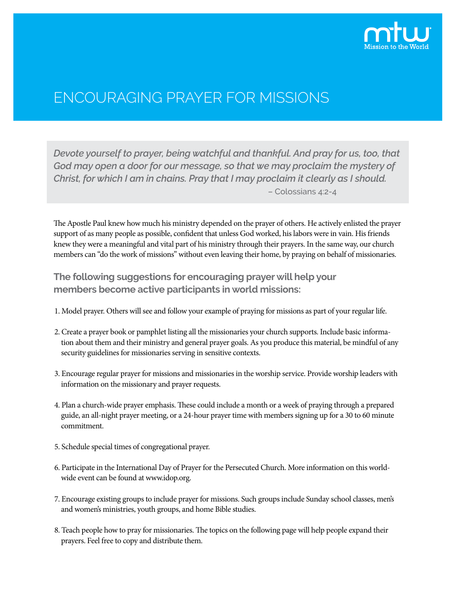

# ENCOURAGING PRAYER FOR MISSIONS

*Devote yourself to prayer, being watchful and thankful. And pray for us, too, that God may open a door for our message, so that we may proclaim the mystery of Christ, for which I am in chains. Pray that I may proclaim it clearly as I should.* – Colossians 4:2-4

The Apostle Paul knew how much his ministry depended on the prayer of others. He actively enlisted the prayer support of as many people as possible, confident that unless God worked, his labors were in vain. His friends knew they were a meaningful and vital part of his ministry through their prayers. In the same way, our church members can "do the work of missions" without even leaving their home, by praying on behalf of missionaries.

# **The following suggestions for encouraging prayer will help your members become active participants in world missions:**

- 1. Model prayer. Others will see and follow your example of praying for missions as part of your regular life.
- 2. Create a prayer book or pamphlet listing all the missionaries your church supports. Include basic information about them and their ministry and general prayer goals. As you produce this material, be mindful of any security guidelines for missionaries serving in sensitive contexts.
- 3. Encourage regular prayer for missions and missionaries in the worship service. Provide worship leaders with information on the missionary and prayer requests.
- 4. Plan a church-wide prayer emphasis. These could include a month or a week of praying through a prepared guide, an all-night prayer meeting, or a 24-hour prayer time with members signing up for a 30 to 60 minute commitment.
- 5. Schedule special times of congregational prayer.
- 6. Participate in the International Day of Prayer for the Persecuted Church. More information on this worldwide event can be found at www.idop.org.
- 7. Encourage existing groups to include prayer for missions. Such groups include Sunday school classes, men's and women's ministries, youth groups, and home Bible studies.
- 8. Teach people how to pray for missionaries. The topics on the following page will help people expand their prayers. Feel free to copy and distribute them.